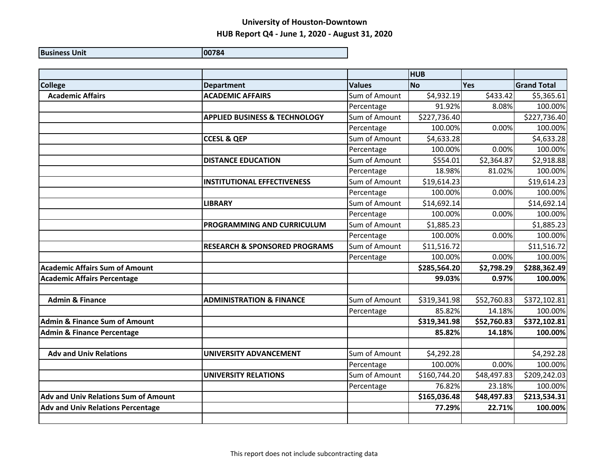| <b>Business Unit</b> | 100784 |
|----------------------|--------|
|                      |        |

|                                             |                                          |               | <b>HUB</b>   |             |                    |
|---------------------------------------------|------------------------------------------|---------------|--------------|-------------|--------------------|
| <b>College</b>                              | <b>Department</b>                        | <b>Values</b> | <b>No</b>    | Yes         | <b>Grand Total</b> |
| <b>Academic Affairs</b>                     | <b>ACADEMIC AFFAIRS</b>                  | Sum of Amount | \$4,932.19   | \$433.42    | \$5,365.61         |
|                                             |                                          | Percentage    | 91.92%       | 8.08%       | 100.00%            |
|                                             | <b>APPLIED BUSINESS &amp; TECHNOLOGY</b> | Sum of Amount | \$227,736.40 |             | \$227,736.40       |
|                                             |                                          | Percentage    | 100.00%      | 0.00%       | 100.00%            |
|                                             | <b>CCESL &amp; QEP</b>                   | Sum of Amount | \$4,633.28   |             | \$4,633.28         |
|                                             |                                          | Percentage    | 100.00%      | 0.00%       | 100.00%            |
|                                             | <b>DISTANCE EDUCATION</b>                | Sum of Amount | \$554.01     | \$2,364.87  | \$2,918.88         |
|                                             |                                          | Percentage    | 18.98%       | 81.02%      | 100.00%            |
|                                             | <b>INSTITUTIONAL EFFECTIVENESS</b>       | Sum of Amount | \$19,614.23  |             | \$19,614.23        |
|                                             |                                          | Percentage    | 100.00%      | 0.00%       | 100.00%            |
|                                             | <b>LIBRARY</b>                           | Sum of Amount | \$14,692.14  |             | \$14,692.14        |
|                                             |                                          | Percentage    | 100.00%      | 0.00%       | 100.00%            |
|                                             | <b>PROGRAMMING AND CURRICULUM</b>        | Sum of Amount | \$1,885.23   |             | \$1,885.23         |
|                                             |                                          | Percentage    | 100.00%      | 0.00%       | 100.00%            |
|                                             | <b>RESEARCH &amp; SPONSORED PROGRAMS</b> | Sum of Amount | \$11,516.72  |             | \$11,516.72        |
|                                             |                                          | Percentage    | 100.00%      | 0.00%       | 100.00%            |
| <b>Academic Affairs Sum of Amount</b>       |                                          |               | \$285,564.20 | \$2,798.29  | \$288,362.49       |
| <b>Academic Affairs Percentage</b>          |                                          |               | 99.03%       | 0.97%       | 100.00%            |
|                                             |                                          |               |              |             |                    |
| <b>Admin &amp; Finance</b>                  | <b>ADMINISTRATION &amp; FINANCE</b>      | Sum of Amount | \$319,341.98 | \$52,760.83 | \$372,102.81       |
|                                             |                                          | Percentage    | 85.82%       | 14.18%      | 100.00%            |
| <b>Admin &amp; Finance Sum of Amount</b>    |                                          |               | \$319,341.98 | \$52,760.83 | \$372,102.81       |
| <b>Admin &amp; Finance Percentage</b>       |                                          |               | 85.82%       | 14.18%      | 100.00%            |
|                                             |                                          |               |              |             |                    |
| <b>Adv and Univ Relations</b>               | <b>UNIVERSITY ADVANCEMENT</b>            | Sum of Amount | \$4,292.28   |             | \$4,292.28         |
|                                             |                                          | Percentage    | 100.00%      | 0.00%       | 100.00%            |
|                                             | <b>UNIVERSITY RELATIONS</b>              | Sum of Amount | \$160,744.20 | \$48,497.83 | \$209,242.03       |
|                                             |                                          | Percentage    | 76.82%       | 23.18%      | 100.00%            |
| <b>Adv and Univ Relations Sum of Amount</b> |                                          |               | \$165,036.48 | \$48,497.83 | \$213,534.31       |
| <b>Adv and Univ Relations Percentage</b>    |                                          |               | 77.29%       | 22.71%      | 100.00%            |
|                                             |                                          |               |              |             |                    |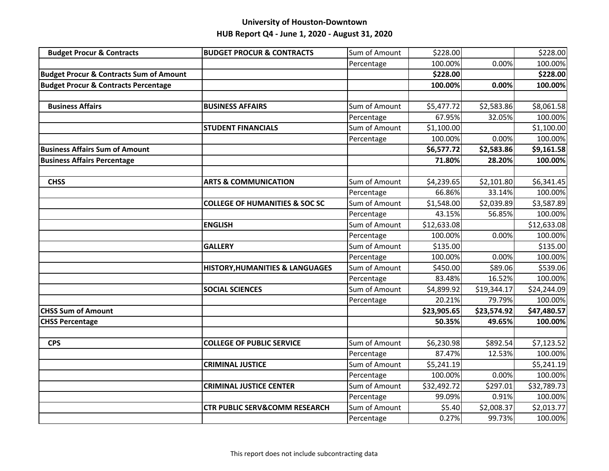| <b>Budget Procur &amp; Contracts</b>               | <b>BUDGET PROCUR &amp; CONTRACTS</b>       | Sum of Amount | \$228.00    |             | \$228.00    |
|----------------------------------------------------|--------------------------------------------|---------------|-------------|-------------|-------------|
|                                                    |                                            | Percentage    | 100.00%     | 0.00%       | 100.00%     |
| <b>Budget Procur &amp; Contracts Sum of Amount</b> |                                            |               | \$228.00    |             | \$228.00    |
| <b>Budget Procur &amp; Contracts Percentage</b>    |                                            |               | 100.00%     | 0.00%       | 100.00%     |
|                                                    |                                            |               |             |             |             |
| <b>Business Affairs</b>                            | <b>BUSINESS AFFAIRS</b>                    | Sum of Amount | \$5,477.72  | \$2,583.86  | \$8,061.58  |
|                                                    |                                            | Percentage    | 67.95%      | 32.05%      | 100.00%     |
|                                                    | <b>STUDENT FINANCIALS</b>                  | Sum of Amount | \$1,100.00  |             | \$1,100.00  |
|                                                    |                                            | Percentage    | 100.00%     | 0.00%       | 100.00%     |
| <b>Business Affairs Sum of Amount</b>              |                                            |               | \$6,577.72  | \$2,583.86  | \$9,161.58  |
| <b>Business Affairs Percentage</b>                 |                                            |               | 71.80%      | 28.20%      | 100.00%     |
|                                                    |                                            |               |             |             |             |
| <b>CHSS</b>                                        | <b>ARTS &amp; COMMUNICATION</b>            | Sum of Amount | \$4,239.65  | \$2,101.80  | \$6,341.45  |
|                                                    |                                            | Percentage    | 66.86%      | 33.14%      | 100.00%     |
|                                                    | <b>COLLEGE OF HUMANITIES &amp; SOC SC</b>  | Sum of Amount | \$1,548.00  | \$2,039.89  | \$3,587.89  |
|                                                    |                                            | Percentage    | 43.15%      | 56.85%      | 100.00%     |
|                                                    | <b>ENGLISH</b>                             | Sum of Amount | \$12,633.08 |             | \$12,633.08 |
|                                                    |                                            | Percentage    | 100.00%     | 0.00%       | 100.00%     |
|                                                    | <b>GALLERY</b>                             | Sum of Amount | \$135.00    |             | \$135.00    |
|                                                    |                                            | Percentage    | 100.00%     | 0.00%       | 100.00%     |
|                                                    | <b>HISTORY, HUMANITIES &amp; LANGUAGES</b> | Sum of Amount | \$450.00    | \$89.06     | \$539.06    |
|                                                    |                                            | Percentage    | 83.48%      | 16.52%      | 100.00%     |
|                                                    | <b>SOCIAL SCIENCES</b>                     | Sum of Amount | \$4,899.92  | \$19,344.17 | \$24,244.09 |
|                                                    |                                            | Percentage    | 20.21%      | 79.79%      | 100.00%     |
| <b>CHSS Sum of Amount</b>                          |                                            |               | \$23,905.65 | \$23,574.92 | \$47,480.57 |
| <b>CHSS Percentage</b>                             |                                            |               | 50.35%      | 49.65%      | 100.00%     |
|                                                    |                                            |               |             |             |             |
| <b>CPS</b>                                         | <b>COLLEGE OF PUBLIC SERVICE</b>           | Sum of Amount | \$6,230.98  | \$892.54    | \$7,123.52  |
|                                                    |                                            | Percentage    | 87.47%      | 12.53%      | 100.00%     |
|                                                    | <b>CRIMINAL JUSTICE</b>                    | Sum of Amount | \$5,241.19  |             | \$5,241.19  |
|                                                    |                                            | Percentage    | 100.00%     | 0.00%       | 100.00%     |
|                                                    | <b>CRIMINAL JUSTICE CENTER</b>             | Sum of Amount | \$32,492.72 | \$297.01    | \$32,789.73 |
|                                                    |                                            | Percentage    | 99.09%      | 0.91%       | 100.00%     |
|                                                    | <b>CTR PUBLIC SERV&amp;COMM RESEARCH</b>   | Sum of Amount | \$5.40      | \$2,008.37  | \$2,013.77  |
|                                                    |                                            | Percentage    | 0.27%       | 99.73%      | 100.00%     |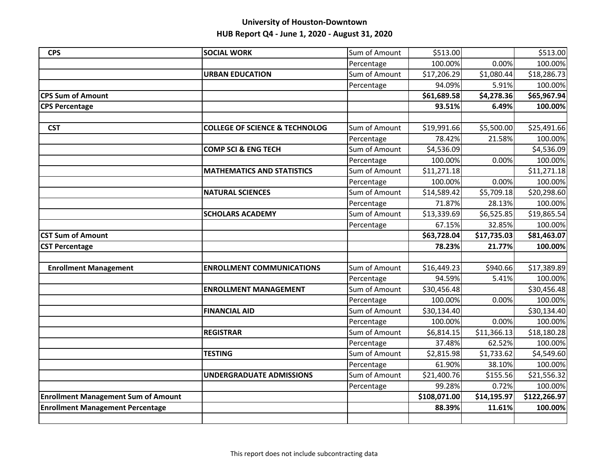| <b>CPS</b>                                 | <b>SOCIAL WORK</b>                        | Sum of Amount | \$513.00     |             | \$513.00     |
|--------------------------------------------|-------------------------------------------|---------------|--------------|-------------|--------------|
|                                            |                                           | Percentage    | 100.00%      | 0.00%       | 100.00%      |
|                                            | <b>URBAN EDUCATION</b>                    | Sum of Amount | \$17,206.29  | \$1,080.44  | \$18,286.73  |
|                                            |                                           | Percentage    | 94.09%       | 5.91%       | 100.00%      |
| <b>CPS Sum of Amount</b>                   |                                           |               | \$61,689.58  | \$4,278.36  | \$65,967.94  |
| <b>CPS Percentage</b>                      |                                           |               | 93.51%       | 6.49%       | 100.00%      |
|                                            |                                           |               |              |             |              |
| <b>CST</b>                                 | <b>COLLEGE OF SCIENCE &amp; TECHNOLOG</b> | Sum of Amount | \$19,991.66  | \$5,500.00  | \$25,491.66  |
|                                            |                                           | Percentage    | 78.42%       | 21.58%      | 100.00%      |
|                                            | <b>COMP SCI &amp; ENG TECH</b>            | Sum of Amount | \$4,536.09   |             | \$4,536.09   |
|                                            |                                           | Percentage    | 100.00%      | 0.00%       | 100.00%      |
|                                            | <b>MATHEMATICS AND STATISTICS</b>         | Sum of Amount | \$11,271.18  |             | \$11,271.18  |
|                                            |                                           | Percentage    | 100.00%      | 0.00%       | 100.00%      |
|                                            | <b>NATURAL SCIENCES</b>                   | Sum of Amount | \$14,589.42  | \$5,709.18  | \$20,298.60  |
|                                            |                                           | Percentage    | 71.87%       | 28.13%      | 100.00%      |
|                                            | <b>SCHOLARS ACADEMY</b>                   | Sum of Amount | \$13,339.69  | \$6,525.85  | \$19,865.54  |
|                                            |                                           | Percentage    | 67.15%       | 32.85%      | 100.00%      |
| <b>CST Sum of Amount</b>                   |                                           |               | \$63,728.04  | \$17,735.03 | \$81,463.07  |
| <b>CST Percentage</b>                      |                                           |               | 78.23%       | 21.77%      | 100.00%      |
|                                            |                                           |               |              |             |              |
| <b>Enrollment Management</b>               | <b>ENROLLMENT COMMUNICATIONS</b>          | Sum of Amount | \$16,449.23  | \$940.66    | \$17,389.89  |
|                                            |                                           | Percentage    | 94.59%       | 5.41%       | 100.00%      |
|                                            | <b>ENROLLMENT MANAGEMENT</b>              | Sum of Amount | \$30,456.48  |             | \$30,456.48  |
|                                            |                                           | Percentage    | 100.00%      | 0.00%       | 100.00%      |
|                                            | <b>FINANCIAL AID</b>                      | Sum of Amount | \$30,134.40  |             | \$30,134.40  |
|                                            |                                           | Percentage    | 100.00%      | 0.00%       | 100.00%      |
|                                            | <b>REGISTRAR</b>                          | Sum of Amount | \$6,814.15   | \$11,366.13 | \$18,180.28  |
|                                            |                                           | Percentage    | 37.48%       | 62.52%      | 100.00%      |
|                                            | <b>TESTING</b>                            | Sum of Amount | \$2,815.98   | \$1,733.62  | \$4,549.60   |
|                                            |                                           | Percentage    | 61.90%       | 38.10%      | 100.00%      |
|                                            | <b>UNDERGRADUATE ADMISSIONS</b>           | Sum of Amount | \$21,400.76  | \$155.56    | \$21,556.32  |
|                                            |                                           | Percentage    | 99.28%       | 0.72%       | 100.00%      |
| <b>Enrollment Management Sum of Amount</b> |                                           |               | \$108,071.00 | \$14,195.97 | \$122,266.97 |
| <b>Enrollment Management Percentage</b>    |                                           |               | 88.39%       | 11.61%      | 100.00%      |
|                                            |                                           |               |              |             |              |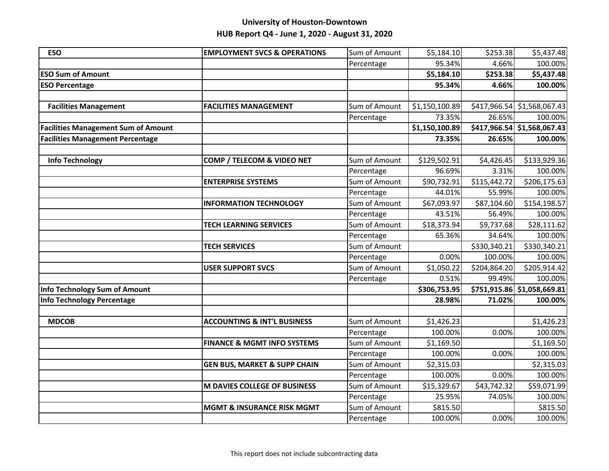| <b>ESO</b>                                 | <b>EMPLOYMENT SVCS &amp; OPERATIONS</b> | Sum of Amount | \$5,184.10     | \$253.38     | \$5,437.48                  |
|--------------------------------------------|-----------------------------------------|---------------|----------------|--------------|-----------------------------|
|                                            |                                         | Percentage    | 95.34%         | 4.66%        | 100.00%                     |
| <b>ESO Sum of Amount</b>                   |                                         |               | \$5,184.10     | \$253.38     | \$5,437.48                  |
| <b>ESO Percentage</b>                      |                                         |               | 95.34%         | 4.66%        | 100.00%                     |
|                                            |                                         |               |                |              |                             |
| <b>Facilities Management</b>               | <b>FACILITIES MANAGEMENT</b>            | Sum of Amount | \$1,150,100.89 |              | \$417,966.54 \$1,568,067.43 |
|                                            |                                         | Percentage    | 73.35%         | 26.65%       | 100.00%                     |
| <b>Facilities Management Sum of Amount</b> |                                         |               | \$1,150,100.89 |              | \$417,966.54 \$1,568,067.43 |
| <b>Facilities Management Percentage</b>    |                                         |               | 73.35%         | 26.65%       | 100.00%                     |
|                                            |                                         |               |                |              |                             |
| <b>Info Technology</b>                     | COMP / TELECOM & VIDEO NET              | Sum of Amount | \$129,502.91   | \$4,426.45   | \$133,929.36                |
|                                            |                                         | Percentage    | 96.69%         | 3.31%        | 100.00%                     |
|                                            | <b>ENTERPRISE SYSTEMS</b>               | Sum of Amount | \$90,732.91    | \$115,442.72 | \$206,175.63                |
|                                            |                                         | Percentage    | 44.01%         | 55.99%       | 100.00%                     |
|                                            | <b>INFORMATION TECHNOLOGY</b>           | Sum of Amount | \$67,093.97    | \$87,104.60  | \$154,198.57                |
|                                            |                                         | Percentage    | 43.51%         | 56.49%       | 100.00%                     |
|                                            | <b>TECH LEARNING SERVICES</b>           | Sum of Amount | \$18,373.94    | \$9,737.68   | \$28,111.62                 |
|                                            |                                         | Percentage    | 65.36%         | 34.64%       | 100.00%                     |
|                                            | <b>TECH SERVICES</b>                    | Sum of Amount |                | \$330,340.21 | \$330,340.21                |
|                                            |                                         | Percentage    | 0.00%          | 100.00%      | 100.00%                     |
|                                            | <b>USER SUPPORT SVCS</b>                | Sum of Amount | \$1,050.22     | \$204,864.20 | \$205,914.42                |
|                                            |                                         | Percentage    | 0.51%          | 99.49%       | 100.00%                     |
| Info Technology Sum of Amount              |                                         |               | \$306,753.95   |              | \$751,915.86 \$1,058,669.81 |
| <b>Info Technology Percentage</b>          |                                         |               | 28.98%         | 71.02%       | 100.00%                     |
|                                            |                                         |               |                |              |                             |
| <b>MDCOB</b>                               | <b>ACCOUNTING &amp; INT'L BUSINESS</b>  | Sum of Amount | \$1,426.23     |              | \$1,426.23                  |
|                                            |                                         | Percentage    | 100.00%        | 0.00%        | 100.00%                     |
|                                            | <b>FINANCE &amp; MGMT INFO SYSTEMS</b>  | Sum of Amount | \$1,169.50     |              | \$1,169.50                  |
|                                            |                                         | Percentage    | 100.00%        | 0.00%        | 100.00%                     |
|                                            | <b>GEN BUS, MARKET &amp; SUPP CHAIN</b> | Sum of Amount | \$2,315.03     |              | \$2,315.03                  |
|                                            |                                         | Percentage    | 100.00%        | 0.00%        | 100.00%                     |
|                                            | <b>M DAVIES COLLEGE OF BUSINESS</b>     | Sum of Amount | \$15,329.67    | \$43,742.32  | \$59,071.99                 |
|                                            |                                         | Percentage    | 25.95%         | 74.05%       | 100.00%                     |
|                                            | <b>MGMT &amp; INSURANCE RISK MGMT</b>   | Sum of Amount | \$815.50       |              | \$815.50                    |
|                                            |                                         | Percentage    | 100.00%        | 0.00%        | 100.00%                     |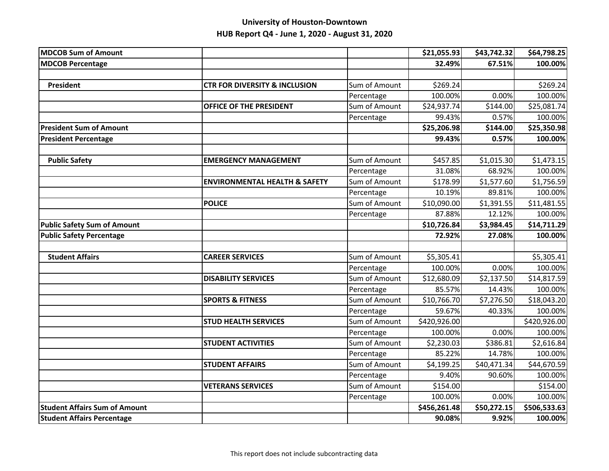| <b>MDCOB Sum of Amount</b>           |                                          |               | \$21,055.93  | \$43,742.32 | \$64,798.25  |
|--------------------------------------|------------------------------------------|---------------|--------------|-------------|--------------|
| <b>MDCOB Percentage</b>              |                                          |               | 32.49%       | 67.51%      | 100.00%      |
|                                      |                                          |               |              |             |              |
| <b>President</b>                     | <b>CTR FOR DIVERSITY &amp; INCLUSION</b> | Sum of Amount | \$269.24     |             | \$269.24     |
|                                      |                                          | Percentage    | 100.00%      | 0.00%       | 100.00%      |
|                                      | <b>OFFICE OF THE PRESIDENT</b>           | Sum of Amount | \$24,937.74  | \$144.00    | \$25,081.74  |
|                                      |                                          | Percentage    | 99.43%       | 0.57%       | 100.00%      |
| <b>President Sum of Amount</b>       |                                          |               | \$25,206.98  | \$144.00    | \$25,350.98  |
| <b>President Percentage</b>          |                                          |               | 99.43%       | 0.57%       | 100.00%      |
|                                      |                                          |               |              |             |              |
| <b>Public Safety</b>                 | <b>EMERGENCY MANAGEMENT</b>              | Sum of Amount | \$457.85     | \$1,015.30  | \$1,473.15   |
|                                      |                                          | Percentage    | 31.08%       | 68.92%      | 100.00%      |
|                                      | <b>ENVIRONMENTAL HEALTH &amp; SAFETY</b> | Sum of Amount | \$178.99     | \$1,577.60  | \$1,756.59   |
|                                      |                                          | Percentage    | 10.19%       | 89.81%      | 100.00%      |
|                                      | <b>POLICE</b>                            | Sum of Amount | \$10,090.00  | \$1,391.55  | \$11,481.55  |
|                                      |                                          | Percentage    | 87.88%       | 12.12%      | 100.00%      |
| <b>Public Safety Sum of Amount</b>   |                                          |               | \$10,726.84  | \$3,984.45  | \$14,711.29  |
| <b>Public Safety Percentage</b>      |                                          |               | 72.92%       | 27.08%      | 100.00%      |
|                                      |                                          |               |              |             |              |
| <b>Student Affairs</b>               | <b>CAREER SERVICES</b>                   | Sum of Amount | \$5,305.41   |             | \$5,305.41   |
|                                      |                                          | Percentage    | 100.00%      | 0.00%       | 100.00%      |
|                                      | <b>DISABILITY SERVICES</b>               | Sum of Amount | \$12,680.09  | \$2,137.50  | \$14,817.59  |
|                                      |                                          | Percentage    | 85.57%       | 14.43%      | 100.00%      |
|                                      | <b>SPORTS &amp; FITNESS</b>              | Sum of Amount | \$10,766.70  | \$7,276.50  | \$18,043.20  |
|                                      |                                          | Percentage    | 59.67%       | 40.33%      | 100.00%      |
|                                      | <b>STUD HEALTH SERVICES</b>              | Sum of Amount | \$420,926.00 |             | \$420,926.00 |
|                                      |                                          | Percentage    | 100.00%      | 0.00%       | 100.00%      |
|                                      | <b>STUDENT ACTIVITIES</b>                | Sum of Amount | \$2,230.03   | \$386.81    | \$2,616.84   |
|                                      |                                          | Percentage    | 85.22%       | 14.78%      | 100.00%      |
|                                      | <b>STUDENT AFFAIRS</b>                   | Sum of Amount | \$4,199.25   | \$40,471.34 | \$44,670.59  |
|                                      |                                          | Percentage    | 9.40%        | 90.60%      | 100.00%      |
|                                      | <b>VETERANS SERVICES</b>                 | Sum of Amount | \$154.00     |             | \$154.00     |
|                                      |                                          | Percentage    | 100.00%      | 0.00%       | 100.00%      |
| <b>Student Affairs Sum of Amount</b> |                                          |               | \$456,261.48 | \$50,272.15 | \$506,533.63 |
| <b>Student Affairs Percentage</b>    |                                          |               | 90.08%       | 9.92%       | 100.00%      |